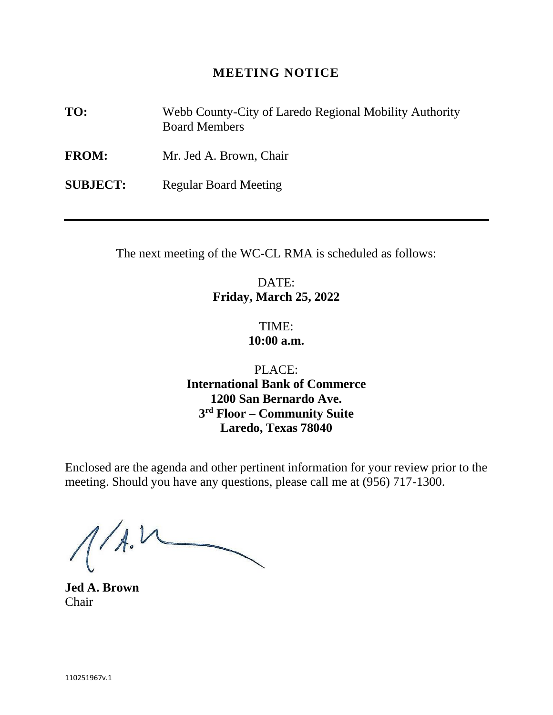# **MEETING NOTICE**

**TO:** Webb County-City of Laredo Regional Mobility Authority Board Members

**FROM:** Mr. Jed A. Brown, Chair

**SUBJECT:** Regular Board Meeting

The next meeting of the WC-CL RMA is scheduled as follows:

DATE: **Friday, March 25, 2022**

> TIME: **10:00 a.m.**

PLACE: **International Bank of Commerce 1200 San Bernardo Ave. 3 rd Floor – Community Suite Laredo, Texas 78040**

Enclosed are the agenda and other pertinent information for your review prior to the meeting. Should you have any questions, please call me at (956) 717-1300.

 $1/1.1$ 

**Jed A. Brown** Chair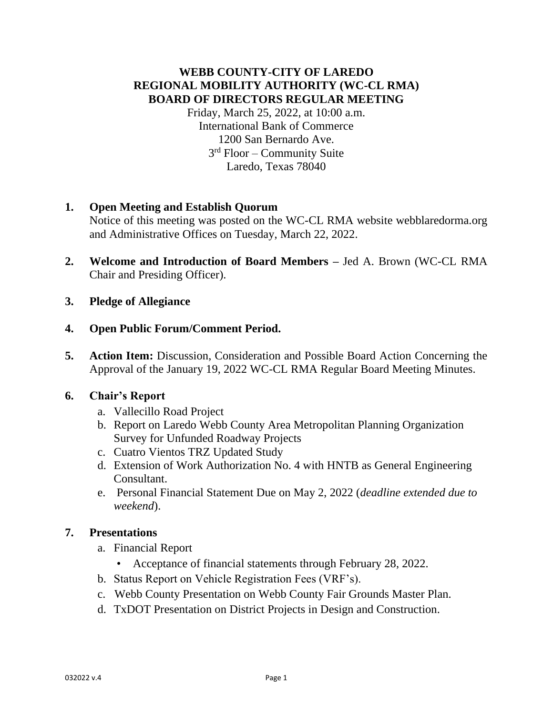# **WEBB COUNTY-CITY OF LAREDO REGIONAL MOBILITY AUTHORITY (WC-CL RMA) BOARD OF DIRECTORS REGULAR MEETING**

Friday, March 25, 2022, at 10:00 a.m. International Bank of Commerce 1200 San Bernardo Ave. 3 rd Floor – Community Suite Laredo, Texas 78040

# **1. Open Meeting and Establish Quorum**

Notice of this meeting was posted on the WC-CL RMA website webblaredorma.org and Administrative Offices on Tuesday, March 22, 2022.

- **2. Welcome and Introduction of Board Members –** Jed A. Brown (WC-CL RMA Chair and Presiding Officer).
- **3. Pledge of Allegiance**

## **4. Open Public Forum/Comment Period.**

**5. Action Item:** Discussion, Consideration and Possible Board Action Concerning the Approval of the January 19, 2022 WC-CL RMA Regular Board Meeting Minutes.

## **6. Chair's Report**

- a. Vallecillo Road Project
- b. Report on Laredo Webb County Area Metropolitan Planning Organization Survey for Unfunded Roadway Projects
- c. Cuatro Vientos TRZ Updated Study
- d. Extension of Work Authorization No. 4 with HNTB as General Engineering Consultant.
- e. Personal Financial Statement Due on May 2, 2022 (*deadline extended due to weekend*).

# **7. Presentations**

- a. Financial Report
	- Acceptance of financial statements through February 28, 2022.
- b. Status Report on Vehicle Registration Fees (VRF's).
- c. Webb County Presentation on Webb County Fair Grounds Master Plan.
- d. TxDOT Presentation on District Projects in Design and Construction.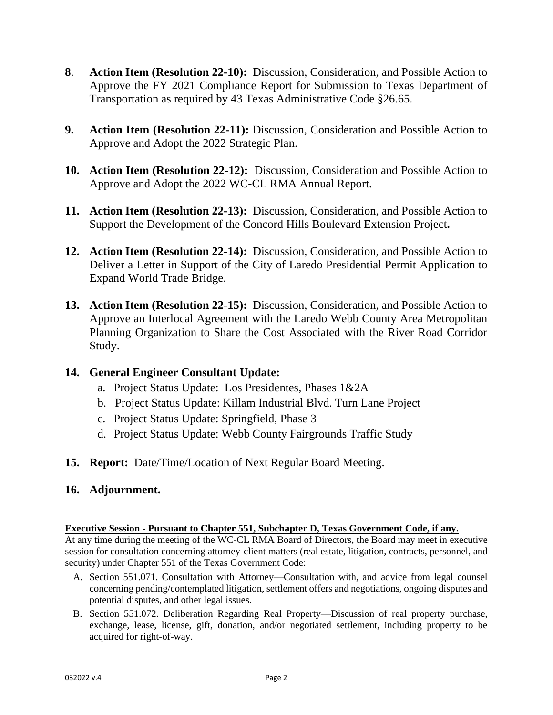- **8**. **Action Item (Resolution 22-10):** Discussion, Consideration, and Possible Action to Approve the FY 2021 Compliance Report for Submission to Texas Department of Transportation as required by 43 Texas Administrative Code §26.65.
- **9. Action Item (Resolution 22-11):** Discussion, Consideration and Possible Action to Approve and Adopt the 2022 Strategic Plan.
- **10. Action Item (Resolution 22-12):** Discussion, Consideration and Possible Action to Approve and Adopt the 2022 WC-CL RMA Annual Report.
- **11. Action Item (Resolution 22-13):** Discussion, Consideration, and Possible Action to Support the Development of the Concord Hills Boulevard Extension Project**.**
- **12. Action Item (Resolution 22-14):** Discussion, Consideration, and Possible Action to Deliver a Letter in Support of the City of Laredo Presidential Permit Application to Expand World Trade Bridge.
- **13. Action Item (Resolution 22-15):** Discussion, Consideration, and Possible Action to Approve an Interlocal Agreement with the Laredo Webb County Area Metropolitan Planning Organization to Share the Cost Associated with the River Road Corridor Study.

## **14. General Engineer Consultant Update:**

- a. Project Status Update: Los Presidentes, Phases 1&2A
- b. Project Status Update: Killam Industrial Blvd. Turn Lane Project
- c. Project Status Update: Springfield, Phase 3
- d. Project Status Update: Webb County Fairgrounds Traffic Study
- **15. Report:** Date/Time/Location of Next Regular Board Meeting.

## **16. Adjournment.**

### **Executive Session - Pursuant to Chapter 551, Subchapter D, Texas Government Code, if any.**

At any time during the meeting of the WC-CL RMA Board of Directors, the Board may meet in executive session for consultation concerning attorney-client matters (real estate, litigation, contracts, personnel, and security) under Chapter 551 of the Texas Government Code:

- A. Section 551.071. Consultation with Attorney—Consultation with, and advice from legal counsel concerning pending/contemplated litigation, settlement offers and negotiations, ongoing disputes and potential disputes, and other legal issues.
- B. Section 551.072. Deliberation Regarding Real Property—Discussion of real property purchase, exchange, lease, license, gift, donation, and/or negotiated settlement, including property to be acquired for right-of-way.